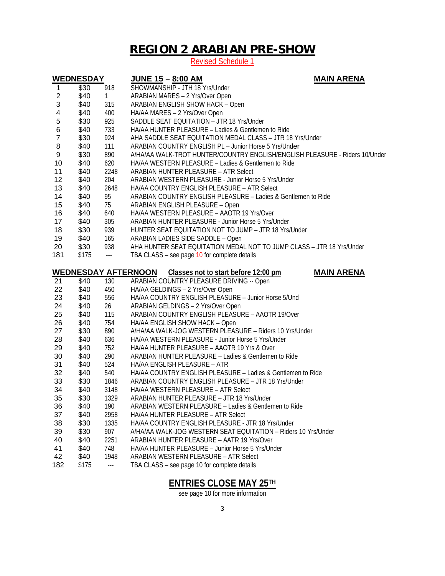## **REGION 2 ARABIAN PRE-SHOW**

Revised Schedule 1

| <b>WEDNESDAY</b>                                                                        |              |                          | <b>JUNE 15 - 8:00 AM</b>                                                                                     | <b>MAIN ARENA</b> |  |  |  |
|-----------------------------------------------------------------------------------------|--------------|--------------------------|--------------------------------------------------------------------------------------------------------------|-------------------|--|--|--|
| 1                                                                                       | \$30         | 918                      | SHOWMANSHIP - JTH 18 Yrs/Under                                                                               |                   |  |  |  |
| $\overline{c}$                                                                          | \$40         | 1                        | ARABIAN MARES - 2 Yrs/Over Open                                                                              |                   |  |  |  |
| 3                                                                                       | \$40         | 315                      | <b>ARABIAN ENGLISH SHOW HACK - Open</b>                                                                      |                   |  |  |  |
| 4                                                                                       | \$40         | 400                      | HA/AA MARES - 2 Yrs/Over Open                                                                                |                   |  |  |  |
| 5                                                                                       | \$30         | 925                      | SADDLE SEAT EQUITATION - JTR 18 Yrs/Under                                                                    |                   |  |  |  |
| 6                                                                                       | \$40         | 733                      | HA/AA HUNTER PLEASURE - Ladies & Gentlemen to Ride                                                           |                   |  |  |  |
| $\overline{7}$                                                                          | \$30         | 924                      | AHA SADDLE SEAT EQUITATION MEDAL CLASS - JTR 18 Yrs/Under                                                    |                   |  |  |  |
| 8                                                                                       | \$40         | 111                      | ARABIAN COUNTRY ENGLISH PL - Junior Horse 5 Yrs/Under                                                        |                   |  |  |  |
| 9                                                                                       | \$30         | 890                      | A/HA/AA WALK-TROT HUNTER/COUNTRY ENGLISH/ENGLISH PLEASURE - Riders 10/Under                                  |                   |  |  |  |
| 10                                                                                      | \$40         | 620                      | HA/AA WESTERN PLEASURE - Ladies & Gentlemen to Ride                                                          |                   |  |  |  |
| 11                                                                                      | \$40         | 2248                     | <b>ARABIAN HUNTER PLEASURE - ATR Select</b>                                                                  |                   |  |  |  |
| 12                                                                                      | \$40         | 204                      | ARABIAN WESTERN PLEASURE - Junior Horse 5 Yrs/Under                                                          |                   |  |  |  |
| 13                                                                                      | \$40         | 2648                     | HA/AA COUNTRY ENGLISH PLEASURE - ATR Select                                                                  |                   |  |  |  |
| 14                                                                                      | \$40         | 95                       | ARABIAN COUNTRY ENGLISH PLEASURE - Ladies & Gentlemen to Ride                                                |                   |  |  |  |
| 15                                                                                      | \$40         | 75                       | <b>ARABIAN ENGLISH PLEASURE - Open</b>                                                                       |                   |  |  |  |
| 16                                                                                      | \$40         | 640                      | HA/AA WESTERN PLEASURE - AAOTR 19 Yrs/Over                                                                   |                   |  |  |  |
| 17                                                                                      | \$40         | 305                      | ARABIAN HUNTER PLEASURE - Junior Horse 5 Yrs/Under                                                           |                   |  |  |  |
| 18                                                                                      | \$30         | 939                      | HUNTER SEAT EQUITATION NOT TO JUMP - JTR 18 Yrs/Under                                                        |                   |  |  |  |
| 19                                                                                      | \$40         | 165                      | ARABIAN LADIES SIDE SADDLE - Open                                                                            |                   |  |  |  |
| 20                                                                                      | \$30         | 938                      | AHA HUNTER SEAT EQUITATION MEDAL NOT TO JUMP CLASS - JTR 18 Yrs/Under                                        |                   |  |  |  |
| 181                                                                                     | \$175        | $\scriptstyle\cdots$     | TBA CLASS - see page 10 for complete details                                                                 |                   |  |  |  |
|                                                                                         |              |                          |                                                                                                              |                   |  |  |  |
| <b>WEDNESDAY AFTERNOON</b><br><b>MAIN ARENA</b><br>Classes not to start before 12:00 pm |              |                          |                                                                                                              |                   |  |  |  |
| 21                                                                                      | \$40         | 130                      | ARABIAN COUNTRY PLEASURE DRIVING -- Open                                                                     |                   |  |  |  |
| 22                                                                                      | \$40         | 450                      | HA/AA GELDINGS - 2 Yrs/Over Open                                                                             |                   |  |  |  |
| 23                                                                                      | \$40         | 556                      | HA/AA COUNTRY ENGLISH PLEASURE - Junior Horse 5/Und                                                          |                   |  |  |  |
| 24                                                                                      | \$40         | 26                       | ARABIAN GELDINGS - 2 Yrs/Over Open                                                                           |                   |  |  |  |
| 25                                                                                      | \$40         | 115                      | ARABIAN COUNTRY ENGLISH PLEASURE - AAOTR 19/Over                                                             |                   |  |  |  |
| 26                                                                                      | \$40         | 754                      | HA/AA ENGLISH SHOW HACK - Open                                                                               |                   |  |  |  |
| 27                                                                                      | \$30         | 890                      | A/HA/AA WALK-JOG WESTERN PLEASURE - Riders 10 Yrs/Under                                                      |                   |  |  |  |
| 28                                                                                      | \$40         | 636                      | HA/AA WESTERN PLEASURE - Junior Horse 5 Yrs/Under                                                            |                   |  |  |  |
| 29                                                                                      | \$40         | 752                      | HA/AA HUNTER PLEASURE - AAOTR 19 Yrs & Over                                                                  |                   |  |  |  |
| 30                                                                                      | \$40         | 290                      | ARABIAN HUNTER PLEASURE - Ladies & Gentlemen to Ride                                                         |                   |  |  |  |
| 31                                                                                      | \$40         | 524                      | HA/AA ENGLISH PLEASURE - ATR                                                                                 |                   |  |  |  |
| 32                                                                                      | \$40         | 540                      | HA/AA COUNTRY ENGLISH PLEASURE - Ladies & Gentlemen to Ride                                                  |                   |  |  |  |
| 33                                                                                      | \$30<br>\$40 | 1846                     | ARABIAN COUNTRY ENGLISH PLEASURE - JTR 18 Yrs/Under                                                          |                   |  |  |  |
| 34<br>35                                                                                | \$30         | 3148<br>1329             | HA/AA WESTERN PLEASURE - ATR Select<br>ARABIAN HUNTER PLEASURE - JTR 18 Yrs/Under                            |                   |  |  |  |
|                                                                                         | \$40         | 190                      | ARABIAN WESTERN PLEASURE - Ladies & Gentlemen to Ride                                                        |                   |  |  |  |
| 36<br>37                                                                                | \$40         | 2958                     | HA/AA HUNTER PLEASURE - ATR Select                                                                           |                   |  |  |  |
|                                                                                         | \$30         | 1335                     | HA/AA COUNTRY ENGLISH PLEASURE - JTR 18 Yrs/Under                                                            |                   |  |  |  |
| 38                                                                                      |              |                          |                                                                                                              |                   |  |  |  |
| 39<br>40                                                                                | \$30<br>\$40 | 907<br>2251              | A/HA/AA WALK-JOG WESTERN SEAT EQUITATION - Riders 10 Yrs/Under<br>ARABIAN HUNTER PLEASURE - AATR 19 Yrs/Over |                   |  |  |  |
| 41                                                                                      | \$40         | 748                      | HA/AA HUNTER PLEASURE - Junior Horse 5 Yrs/Under                                                             |                   |  |  |  |
| 42                                                                                      | \$40         | 1948                     | ARABIAN WESTERN PLEASURE - ATR Select                                                                        |                   |  |  |  |
|                                                                                         |              |                          |                                                                                                              |                   |  |  |  |
| 182                                                                                     | \$175        | $\overline{\phantom{a}}$ | TBA CLASS - see page 10 for complete details                                                                 |                   |  |  |  |

## **ENTRIES CLOSE MAY 25TH**

see page 10 for more information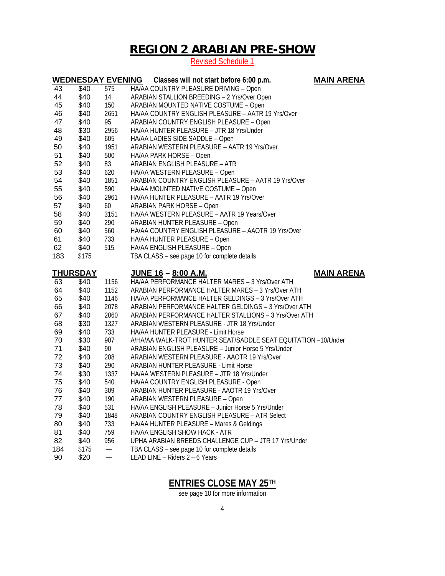# **REGION 2 ARABIAN PRE-SHOW**

#### Revised Schedule 1

|                 | <b>WEDNESDAY EVENING</b> |                | Classes will not start before 6:00 p.m.                                        | <b>MAIN ARENA</b> |
|-----------------|--------------------------|----------------|--------------------------------------------------------------------------------|-------------------|
| 43              | \$40                     | 575            | HA/AA COUNTRY PLEASURE DRIVING - Open                                          |                   |
| 44              | \$40                     | 14             | ARABIAN STALLION BREEDING - 2 Yrs/Over Open                                    |                   |
| 45              | \$40                     | 150            | ARABIAN MOUNTED NATIVE COSTUME - Open                                          |                   |
| 46              | \$40                     | 2651           | HA/AA COUNTRY ENGLISH PLEASURE - AATR 19 Yrs/Over                              |                   |
| 47              | \$40                     | 95             | ARABIAN COUNTRY ENGLISH PLEASURE - Open                                        |                   |
| 48              | \$30                     | 2956           | HA/AA HUNTER PLEASURE - JTR 18 Yrs/Under                                       |                   |
| 49              | \$40                     | 605            | HA/AA LADIES SIDE SADDLE - Open                                                |                   |
| 50              | \$40                     | 1951           | ARABIAN WESTERN PLEASURE - AATR 19 Yrs/Over                                    |                   |
| 51              | \$40                     | 500            | HA/AA PARK HORSE - Open                                                        |                   |
| 52              | \$40                     | 83             | ARABIAN ENGLISH PLEASURE - ATR                                                 |                   |
| 53              | \$40                     | 620            | HA/AA WESTERN PLEASURE - Open                                                  |                   |
| 54              | \$40                     | 1851           | ARABIAN COUNTRY ENGLISH PLEASURE - AATR 19 Yrs/Over                            |                   |
| 55              | \$40                     | 590            | HA/AA MOUNTED NATIVE COSTUME - Open                                            |                   |
| 56              | \$40                     | 2961           | HA/AA HUNTER PLEASURE - AATR 19 Yrs/Over                                       |                   |
| 57              | \$40                     | 60             | <b>ARABIAN PARK HORSE - Open</b>                                               |                   |
| 58              | \$40                     | 3151           | HA/AA WESTERN PLEASURE - AATR 19 Years/Over                                    |                   |
| 59              | \$40                     | 290            | ARABIAN HUNTER PLEASURE - Open                                                 |                   |
| 60              | \$40                     | 560            | HA/AA COUNTRY ENGLISH PLEASURE - AAOTR 19 Yrs/Over                             |                   |
| 61              | \$40                     | 733            | HA/AA HUNTER PLEASURE - Open                                                   |                   |
| 62              | \$40                     | 515            | HA/AA ENGLISH PLEASURE - Open                                                  |                   |
| 183             | \$175                    |                | TBA CLASS - see page 10 for complete details                                   |                   |
|                 |                          |                |                                                                                |                   |
| <b>THURSDAY</b> |                          |                | <u> JUNE 16 – 8:00 A.M.</u>                                                    | <b>MAIN ARENA</b> |
| 63              | \$40                     | 1156           | HA/AA PERFORMANCE HALTER MARES - 3 Yrs/Over ATH                                |                   |
| 64              | \$40                     | 1152           | ARABIAN PERFORMANCE HALTER MARES - 3 Yrs/Over ATH                              |                   |
| 65              | \$40                     | 1146           | HA/AA PERFORMANCE HALTER GELDINGS - 3 Yrs/Over ATH                             |                   |
| 66              | \$40                     | 2078           | ARABIAN PERFORMANCE HALTER GELDINGS - 3 Yrs/Over ATH                           |                   |
| 67              | \$40                     | 2060           | ARABIAN PERFORMANCE HALTER STALLIONS - 3 Yrs/Over ATH                          |                   |
| 68              | \$30                     | 1327           | ARABIAN WESTERN PLEASURE - JTR 18 Yrs/Under                                    |                   |
| 69              | \$40                     | 733            | HA/AA HUNTER PLEASURE - Limit Horse                                            |                   |
| 70              | \$30                     | 907            | A/HA/AA WALK-TROT HUNTER SEAT/SADDLE SEAT EQUITATION -10/Under                 |                   |
| 71              | \$40                     | 90             | ARABIAN ENGLISH PLEASURE - Junior Horse 5 Yrs/Under                            |                   |
| 72              | \$40                     | 208            | ARABIAN WESTERN PLEASURE - AAOTR 19 Yrs/Over                                   |                   |
| 73              | \$40                     | 290            | ARABIAN HUNTER PLEASURE - Limit Horse                                          |                   |
| 74              | \$30                     | 1337           | HA/AA WESTERN PLEASURE - JTR 18 Yrs/Under                                      |                   |
| 75              | \$40                     | 540            | HA/AA COUNTRY ENGLISH PLEASURE - Open                                          |                   |
| 76              |                          |                |                                                                                |                   |
|                 | \$40                     | 309            | ARABIAN HUNTER PLEASURE - AAOTR 19 Yrs/Over                                    |                   |
| 77              | \$40                     | 190            | ARABIAN WESTERN PLEASURE - Open                                                |                   |
| 78              | \$40                     | 531            | HA/AA ENGLISH PLEASURE - Junior Horse 5 Yrs/Under                              |                   |
| 79              | \$40                     | 1848           | ARABIAN COUNTRY ENGLISH PLEASURE - ATR Select                                  |                   |
| 80              | \$40                     | 733            | HA/AA HUNTER PLEASURE - Mares & Geldings                                       |                   |
| 81              | \$40                     | 759            | HA/AA ENGLISH SHOW HACK - ATR                                                  |                   |
| 82              | \$40                     | 956            | UPHA ARABIAN BREEDS CHALLENGE CUP - JTR 17 Yrs/Under                           |                   |
| 184<br>90       | \$175<br>\$20            | $\overline{a}$ | TBA CLASS - see page 10 for complete details<br>LEAD LINE - Riders 2 - 6 Years |                   |

## **ENTRIES CLOSE MAY 25TH**

see page 10 for more information